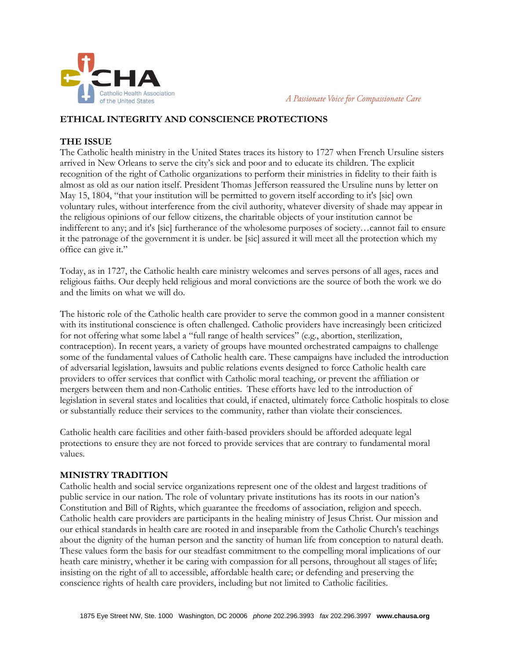

A Passionate Voice for Compassionate Care

## **ETHICAL INTEGRITY AND CONSCIENCE PROTECTIONS**

## **THE ISSUE**

The Catholic health ministry in the United States traces its history to 1727 when French Ursuline sisters arrived in New Orleans to serve the city's sick and poor and to educate its children. The explicit recognition of the right of Catholic organizations to perform their ministries in fidelity to their faith is almost as old as our nation itself. President Thomas Jefferson reassured the Ursuline nuns by letter on May 15, 1804, "that your institution will be permitted to govern itself according to it's [sic] own voluntary rules, without interference from the civil authority, whatever diversity of shade may appear in the religious opinions of our fellow citizens, the charitable objects of your institution cannot be indifferent to any; and it's [sic] furtherance of the wholesome purposes of society…cannot fail to ensure it the patronage of the government it is under. be [sic] assured it will meet all the protection which my office can give it."

Today, as in 1727, the Catholic health care ministry welcomes and serves persons of all ages, races and religious faiths. Our deeply held religious and moral convictions are the source of both the work we do and the limits on what we will do.

The historic role of the Catholic health care provider to serve the common good in a manner consistent with its institutional conscience is often challenged. Catholic providers have increasingly been criticized for not offering what some label a "full range of health services" (e.g., abortion, sterilization, contraception). In recent years, a variety of groups have mounted orchestrated campaigns to challenge some of the fundamental values of Catholic health care. These campaigns have included the introduction of adversarial legislation, lawsuits and public relations events designed to force Catholic health care providers to offer services that conflict with Catholic moral teaching, or prevent the affiliation or mergers between them and non-Catholic entities. These efforts have led to the introduction of legislation in several states and localities that could, if enacted, ultimately force Catholic hospitals to close or substantially reduce their services to the community, rather than violate their consciences.

Catholic health care facilities and other faith-based providers should be afforded adequate legal protections to ensure they are not forced to provide services that are contrary to fundamental moral values.

## **MINISTRY TRADITION**

Catholic health and social service organizations represent one of the oldest and largest traditions of public service in our nation. The role of voluntary private institutions has its roots in our nation's Constitution and Bill of Rights, which guarantee the freedoms of association, religion and speech. Catholic health care providers are participants in the healing ministry of Jesus Christ. Our mission and our ethical standards in health care are rooted in and inseparable from the Catholic Church's teachings about the dignity of the human person and the sanctity of human life from conception to natural death. These values form the basis for our steadfast commitment to the compelling moral implications of our heath care ministry, whether it be caring with compassion for all persons, throughout all stages of life; insisting on the right of all to accessible, affordable health care; or defending and preserving the conscience rights of health care providers, including but not limited to Catholic facilities.